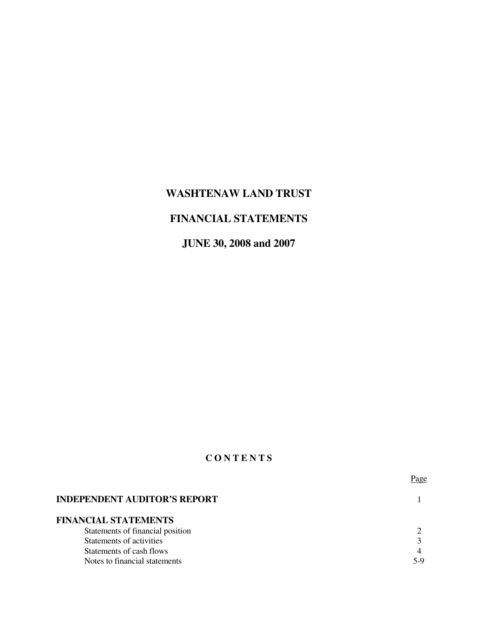# **WASHTENAW LAND TRUST**

# **FINANCIAL STATEMENTS**

**JUNE 30, 2008 and 2007** 

# **C O N T E N T S**

|                                     | Page |
|-------------------------------------|------|
| <b>INDEPENDENT AUDITOR'S REPORT</b> |      |
| <b>FINANCIAL STATEMENTS</b>         |      |
| Statements of financial position    |      |
| Statements of activities            |      |
| Statements of cash flows            |      |
| Notes to financial statements       | 5-Y  |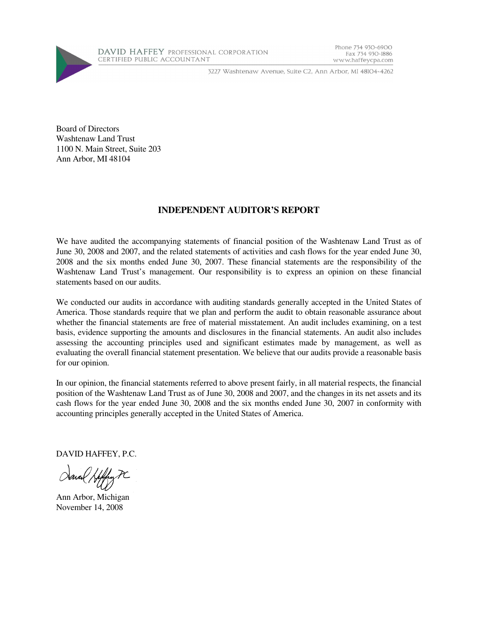

3227 Washtenaw Avenue, Suite C2, Ann Arbor, MI 48104-4262

Board of Directors Washtenaw Land Trust 1100 N. Main Street, Suite 203 Ann Arbor, MI 48104

### **INDEPENDENT AUDITOR'S REPORT**

We have audited the accompanying statements of financial position of the Washtenaw Land Trust as of June 30, 2008 and 2007, and the related statements of activities and cash flows for the year ended June 30, 2008 and the six months ended June 30, 2007. These financial statements are the responsibility of the Washtenaw Land Trust's management. Our responsibility is to express an opinion on these financial statements based on our audits.

We conducted our audits in accordance with auditing standards generally accepted in the United States of America. Those standards require that we plan and perform the audit to obtain reasonable assurance about whether the financial statements are free of material misstatement. An audit includes examining, on a test basis, evidence supporting the amounts and disclosures in the financial statements. An audit also includes assessing the accounting principles used and significant estimates made by management, as well as evaluating the overall financial statement presentation. We believe that our audits provide a reasonable basis for our opinion.

In our opinion, the financial statements referred to above present fairly, in all material respects, the financial position of the Washtenaw Land Trust as of June 30, 2008 and 2007, and the changes in its net assets and its cash flows for the year ended June 30, 2008 and the six months ended June 30, 2007 in conformity with accounting principles generally accepted in the United States of America.

DAVID HAFFEY, P.C.

Sanal Hiffy PC

Ann Arbor, Michigan November 14, 2008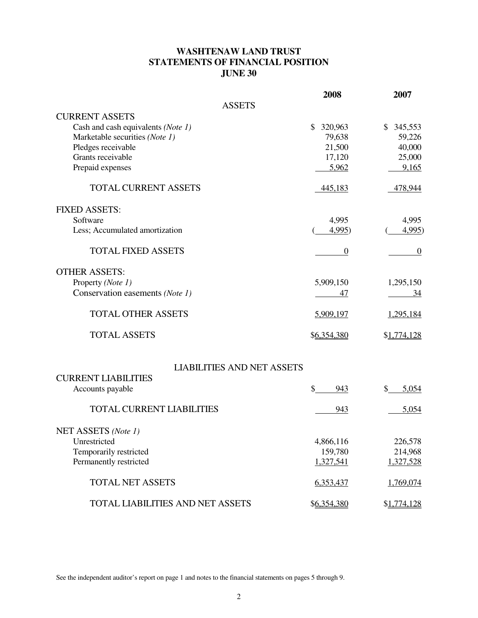### **WASHTENAW LAND TRUST STATEMENTS OF FINANCIAL POSITION JUNE 30**

|                                    | 2008             | 2007             |
|------------------------------------|------------------|------------------|
| <b>ASSETS</b>                      |                  |                  |
| <b>CURRENT ASSETS</b>              |                  |                  |
| Cash and cash equivalents (Note 1) | \$ 320,963       | \$345,553        |
| Marketable securities (Note 1)     | 79,638           | 59,226           |
| Pledges receivable                 | 21,500           | 40,000           |
| Grants receivable                  | 17,120           | 25,000           |
| Prepaid expenses                   | 5,962            | 9,165            |
| <b>TOTAL CURRENT ASSETS</b>        | 445,183          | 478,944          |
| <b>FIXED ASSETS:</b>               |                  |                  |
| Software                           | 4,995            | 4,995            |
| Less; Accumulated amortization     | 4,995)           | 4,995            |
| <b>TOTAL FIXED ASSETS</b>          | $\boldsymbol{0}$ | $\boldsymbol{0}$ |
| <b>OTHER ASSETS:</b>               |                  |                  |
| Property (Note 1)                  | 5,909,150        | 1,295,150        |
| Conservation easements (Note 1)    | 47               | <u>34</u>        |
| <b>TOTAL OTHER ASSETS</b>          | 5,909,197        | 1,295,184        |
| <b>TOTAL ASSETS</b>                | \$6,354,380      | \$1,774,128      |
| <b>LIABILITIES AND NET ASSETS</b>  |                  |                  |
| <b>CURRENT LIABILITIES</b>         |                  |                  |
| Accounts payable                   | \$<br>943        | \$<br>5,054      |
| <b>TOTAL CURRENT LIABILITIES</b>   | 943              | 5,054            |
| NET ASSETS (Note 1)                |                  |                  |
| Unrestricted                       | 4,866,116        | 226,578          |
| Temporarily restricted             | 159,780          | 214,968          |
| Permanently restricted             | 1,327,541        | 1,327,528        |
| <b>TOTAL NET ASSETS</b>            | 6,353,437        | 1,769,074        |
| TOTAL LIABILITIES AND NET ASSETS   | \$6,354,380      | \$1,774,128      |

See the independent auditor's report on page 1 and notes to the financial statements on pages 5 through 9.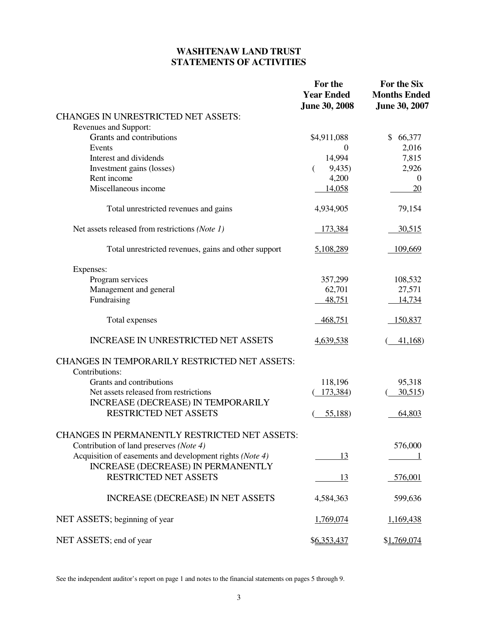# **WASHTENAW LAND TRUST STATEMENTS OF ACTIVITIES**

|                                                          | For the<br><b>Year Ended</b><br><b>June 30, 2008</b> | For the Six<br><b>Months Ended</b><br><b>June 30, 2007</b> |
|----------------------------------------------------------|------------------------------------------------------|------------------------------------------------------------|
| <b>CHANGES IN UNRESTRICTED NET ASSETS:</b>               |                                                      |                                                            |
| Revenues and Support:                                    |                                                      |                                                            |
| Grants and contributions                                 | \$4,911,088                                          | \$66,377                                                   |
| Events                                                   | $\Omega$                                             | 2,016                                                      |
| Interest and dividends                                   | 14,994                                               | 7,815                                                      |
| Investment gains (losses)                                | 9,435)                                               | 2,926                                                      |
| Rent income                                              | 4,200                                                | $\mathbf{0}$                                               |
| Miscellaneous income                                     | 14,058                                               | 20                                                         |
| Total unrestricted revenues and gains                    | 4,934,905                                            | 79,154                                                     |
| Net assets released from restrictions (Note 1)           | 173,384                                              | 30,515                                                     |
| Total unrestricted revenues, gains and other support     | 5,108,289                                            | 109,669                                                    |
| Expenses:                                                |                                                      |                                                            |
| Program services                                         | 357,299                                              | 108,532                                                    |
| Management and general                                   | 62,701                                               | 27,571                                                     |
| Fundraising                                              | 48,751                                               | 14,734                                                     |
| Total expenses                                           | 468,751                                              | 150,837                                                    |
| <b>INCREASE IN UNRESTRICTED NET ASSETS</b>               | 4,639,538                                            | 41,168                                                     |
| <b>CHANGES IN TEMPORARILY RESTRICTED NET ASSETS:</b>     |                                                      |                                                            |
| Contributions:<br>Grants and contributions               | 118,196                                              | 95,318                                                     |
| Net assets released from restrictions                    | 173,384)                                             | 30,515                                                     |
| <b>INCREASE (DECREASE) IN TEMPORARILY</b>                |                                                      |                                                            |
| <b>RESTRICTED NET ASSETS</b>                             | 55,188)                                              | 64,803                                                     |
| <b>CHANGES IN PERMANENTLY RESTRICTED NET ASSETS:</b>     |                                                      |                                                            |
| Contribution of land preserves (Note 4)                  |                                                      | 576,000                                                    |
| Acquisition of easements and development rights (Note 4) | 13                                                   |                                                            |
| <b>INCREASE (DECREASE) IN PERMANENTLY</b>                |                                                      |                                                            |
| <b>RESTRICTED NET ASSETS</b>                             | 13                                                   | 576,001                                                    |
| <b>INCREASE (DECREASE) IN NET ASSETS</b>                 | 4,584,363                                            | 599,636                                                    |
| NET ASSETS; beginning of year                            | 1,769,074                                            | 1,169,438                                                  |
| NET ASSETS; end of year                                  | \$6,353,437                                          | \$1,769,074                                                |

See the independent auditor's report on page 1 and notes to the financial statements on pages 5 through 9.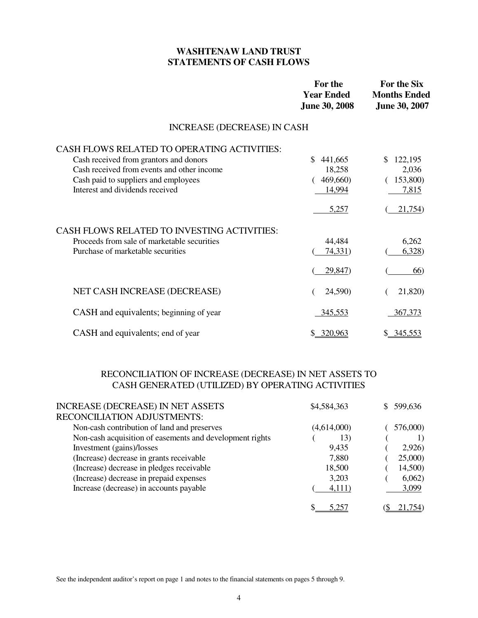### **WASHTENAW LAND TRUST STATEMENTS OF CASH FLOWS**

|                                                    | For the<br><b>Year Ended</b><br><b>June 30, 2008</b> | <b>For the Six</b><br><b>Months Ended</b><br><b>June 30, 2007</b> |
|----------------------------------------------------|------------------------------------------------------|-------------------------------------------------------------------|
| INCREASE (DECREASE) IN CASH                        |                                                      |                                                                   |
| CASH FLOWS RELATED TO OPERATING ACTIVITIES:        | \$                                                   | \$.                                                               |
| Cash received from grantors and donors             | 441,665                                              | 122,195                                                           |
| Cash received from events and other income         | 18,258                                               | 2,036                                                             |
| Cash paid to suppliers and employees               | 469,660)                                             | 153,800)                                                          |
| Interest and dividends received                    | 14,994                                               | 7,815                                                             |
| <b>CASH FLOWS RELATED TO INVESTING ACTIVITIES:</b> | 5,257                                                | 21,754)                                                           |
| Proceeds from sale of marketable securities        | 44,484                                               | 6,262                                                             |
| Purchase of marketable securities                  | 74,331)                                              | 6,328                                                             |
| NET CASH INCREASE (DECREASE)                       | 29,847)<br>24,590)                                   | 66)<br>21,820)                                                    |
| CASH and equivalents; beginning of year            | 345,553                                              | 367,373                                                           |
| CASH and equivalents; end of year                  | \$ 320,963                                           | \$ 345,553                                                        |

### RECONCILIATION OF INCREASE (DECREASE) IN NET ASSETS TO CASH GENERATED (UTILIZED) BY OPERATING ACTIVITIES

| <b>INCREASE (DECREASE) IN NET ASSETS</b>                 | \$4,584,363 | 599,636  |
|----------------------------------------------------------|-------------|----------|
| RECONCILIATION ADJUSTMENTS:                              |             |          |
| Non-cash contribution of land and preserves              | (4,614,000) | 576,000) |
| Non-cash acquisition of easements and development rights | 13)         |          |
| Investment (gains)/losses                                | 9,435       | 2,926    |
| (Increase) decrease in grants receivable                 | 7,880       | 25,000)  |
| (Increase) decrease in pledges receivable                | 18,500      | 14,500)  |
| (Increase) decrease in prepaid expenses                  | 3,203       | 6,062)   |
| Increase (decrease) in accounts payable                  | 4,111)      | 3,099    |
|                                                          |             |          |

See the independent auditor's report on page 1 and notes to the financial statements on pages 5 through 9.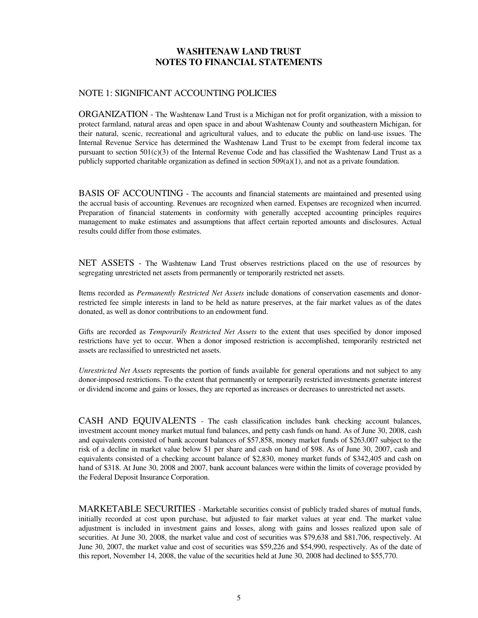### NOTE 1: SIGNIFICANT ACCOUNTING POLICIES

ORGANIZATION - The Washtenaw Land Trust is a Michigan not for profit organization, with a mission to protect farmland, natural areas and open space in and about Washtenaw County and southeastern Michigan, for their natural, scenic, recreational and agricultural values, and to educate the public on land-use issues. The Internal Revenue Service has determined the Washtenaw Land Trust to be exempt from federal income tax pursuant to section  $501(c)(3)$  of the Internal Revenue Code and has classified the Washtenaw Land Trust as a publicly supported charitable organization as defined in section 509(a)(1), and not as a private foundation.

BASIS OF ACCOUNTING - The accounts and financial statements are maintained and presented using the accrual basis of accounting. Revenues are recognized when earned. Expenses are recognized when incurred. Preparation of financial statements in conformity with generally accepted accounting principles requires management to make estimates and assumptions that affect certain reported amounts and disclosures. Actual results could differ from those estimates.

NET ASSETS - The Washtenaw Land Trust observes restrictions placed on the use of resources by segregating unrestricted net assets from permanently or temporarily restricted net assets.

Items recorded as *Permanently Restricted Net Assets* include donations of conservation easements and donorrestricted fee simple interests in land to be held as nature preserves, at the fair market values as of the dates donated, as well as donor contributions to an endowment fund.

Gifts are recorded as *Temporarily Restricted Net Assets* to the extent that uses specified by donor imposed restrictions have yet to occur. When a donor imposed restriction is accomplished, temporarily restricted net assets are reclassified to unrestricted net assets.

*Unrestricted Net Assets* represents the portion of funds available for general operations and not subject to any donor-imposed restrictions. To the extent that permanently or temporarily restricted investments generate interest or dividend income and gains or losses, they are reported as increases or decreases to unrestricted net assets.

CASH AND EQUIVALENTS - The cash classification includes bank checking account balances, investment account money market mutual fund balances, and petty cash funds on hand. As of June 30, 2008, cash and equivalents consisted of bank account balances of \$57,858, money market funds of \$263,007 subject to the risk of a decline in market value below \$1 per share and cash on hand of \$98. As of June 30, 2007, cash and equivalents consisted of a checking account balance of \$2,830, money market funds of \$342,405 and cash on hand of \$318. At June 30, 2008 and 2007, bank account balances were within the limits of coverage provided by the Federal Deposit Insurance Corporation.

MARKETABLE SECURITIES - Marketable securities consist of publicly traded shares of mutual funds, initially recorded at cost upon purchase, but adjusted to fair market values at year end. The market value adjustment is included in investment gains and losses, along with gains and losses realized upon sale of securities. At June 30, 2008, the market value and cost of securities was \$79,638 and \$81,706, respectively. At June 30, 2007, the market value and cost of securities was \$59,226 and \$54,990, respectively. As of the date of this report, November 14, 2008, the value of the securities held at June 30, 2008 had declined to \$55,770.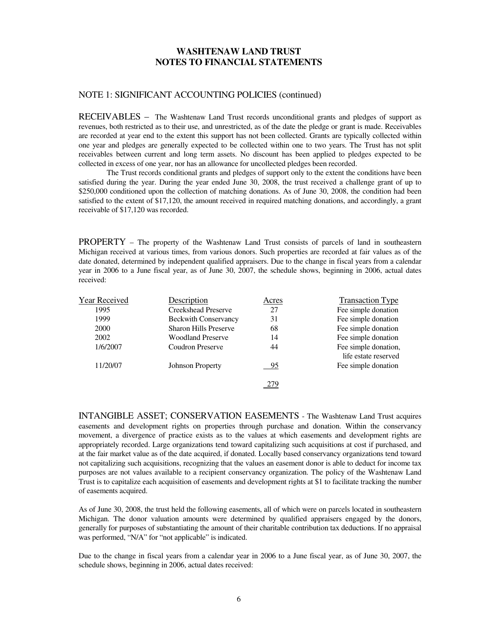#### NOTE 1: SIGNIFICANT ACCOUNTING POLICIES (continued)

RECEIVABLES – The Washtenaw Land Trust records unconditional grants and pledges of support as revenues, both restricted as to their use, and unrestricted, as of the date the pledge or grant is made. Receivables are recorded at year end to the extent this support has not been collected. Grants are typically collected within one year and pledges are generally expected to be collected within one to two years. The Trust has not split receivables between current and long term assets. No discount has been applied to pledges expected to be collected in excess of one year, nor has an allowance for uncollected pledges been recorded.

 The Trust records conditional grants and pledges of support only to the extent the conditions have been satisfied during the year. During the year ended June 30, 2008, the trust received a challenge grant of up to \$250,000 conditioned upon the collection of matching donations. As of June 30, 2008, the condition had been satisfied to the extent of \$17,120, the amount received in required matching donations, and accordingly, a grant receivable of \$17,120 was recorded.

PROPERTY – The property of the Washtenaw Land Trust consists of parcels of land in southeastern Michigan received at various times, from various donors. Such properties are recorded at fair values as of the date donated, determined by independent qualified appraisers. Due to the change in fiscal years from a calendar year in 2006 to a June fiscal year, as of June 30, 2007, the schedule shows, beginning in 2006, actual dates received:

| <b>Year Received</b> | Description                  | Acres | <b>Transaction Type</b> |
|----------------------|------------------------------|-------|-------------------------|
| 1995                 | <b>Creekshead Preserve</b>   | 27    | Fee simple donation     |
| 1999                 | <b>Beckwith Conservancy</b>  | 31    | Fee simple donation     |
| 2000                 | <b>Sharon Hills Preserve</b> | 68    | Fee simple donation     |
| 2002                 | <b>Woodland Preserve</b>     | 14    | Fee simple donation     |
| 1/6/2007             | Coudron Preserve             | 44    | Fee simple donation,    |
|                      |                              |       | life estate reserved    |
| 11/20/07             | <b>Johnson Property</b>      | 95    | Fee simple donation     |
|                      |                              |       |                         |
|                      |                              |       |                         |

INTANGIBLE ASSET; CONSERVATION EASEMENTS - The Washtenaw Land Trust acquires easements and development rights on properties through purchase and donation. Within the conservancy movement, a divergence of practice exists as to the values at which easements and development rights are appropriately recorded. Large organizations tend toward capitalizing such acquisitions at cost if purchased, and at the fair market value as of the date acquired, if donated. Locally based conservancy organizations tend toward not capitalizing such acquisitions, recognizing that the values an easement donor is able to deduct for income tax purposes are not values available to a recipient conservancy organization. The policy of the Washtenaw Land Trust is to capitalize each acquisition of easements and development rights at \$1 to facilitate tracking the number of easements acquired.

As of June 30, 2008, the trust held the following easements, all of which were on parcels located in southeastern Michigan. The donor valuation amounts were determined by qualified appraisers engaged by the donors, generally for purposes of substantiating the amount of their charitable contribution tax deductions. If no appraisal was performed, "N/A" for "not applicable" is indicated.

Due to the change in fiscal years from a calendar year in 2006 to a June fiscal year, as of June 30, 2007, the schedule shows, beginning in 2006, actual dates received: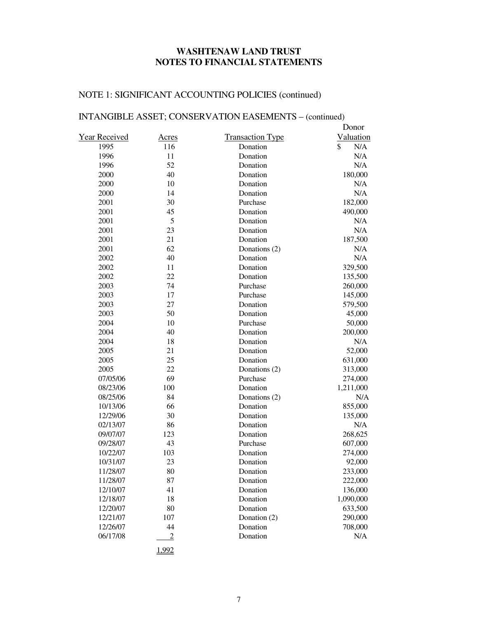# NOTE 1: SIGNIFICANT ACCOUNTING POLICIES (continued)

# INTANGIBLE ASSET; CONSERVATION EASEMENTS – (continued)

|               |                |                         | Donor     |
|---------------|----------------|-------------------------|-----------|
| Year Received | <u>Acres</u>   | <b>Transaction Type</b> | Valuation |
| 1995          | 116            | Donation                | \$<br>N/A |
| 1996          | 11             | Donation                | N/A       |
| 1996          | 52             | Donation                | N/A       |
| 2000          | 40             | Donation                | 180,000   |
| 2000          | 10             | Donation                | N/A       |
| 2000          | 14             | Donation                | N/A       |
| 2001          | 30             | Purchase                | 182,000   |
| 2001          | 45             | Donation                | 490,000   |
| 2001          | 5              | Donation                | N/A       |
| 2001          | 23             | Donation                | N/A       |
| 2001          | 21             | Donation                | 187,500   |
| 2001          | 62             | Donations (2)           | N/A       |
| 2002          | 40             | Donation                | N/A       |
| 2002          | 11             | Donation                | 329,500   |
| 2002          | 22             | Donation                | 135,500   |
| 2003          | 74             | Purchase                | 260,000   |
| 2003          | 17             | Purchase                | 145,000   |
| 2003          | 27             | Donation                | 579,500   |
| 2003          | 50             | Donation                | 45,000    |
| 2004          | 10             | Purchase                | 50,000    |
| 2004          | 40             | Donation                | 200,000   |
| 2004          | 18             | Donation                | N/A       |
| 2005          | 21             | Donation                | 52,000    |
| 2005          | 25             | Donation                | 631,000   |
| 2005          | 22             | Donations (2)           | 313,000   |
| 07/05/06      | 69             | Purchase                | 274,000   |
| 08/23/06      | 100            | Donation                | 1,211,000 |
| 08/25/06      | 84             | Donations (2)           | N/A       |
| 10/13/06      | 66             | Donation                | 855,000   |
| 12/29/06      | 30             | Donation                | 135,000   |
| 02/13/07      | 86             | Donation                | N/A       |
| 09/07/07      | 123            | Donation                | 268,625   |
| 09/28/07      | 43             | Purchase                | 607,000   |
| 10/22/07      | 103            | Donation                | 274,000   |
| 10/31/07      | 23             | Donation                | 92,000    |
| 11/28/07      | 80             | Donation                | 233,000   |
| 11/28/07      | 87             | Donation                | 222,000   |
| 12/10/07      | 41             | Donation                | 136,000   |
| 12/18/07      | 18             | Donation                | 1,090,000 |
| 12/20/07      | 80             | Donation                | 633,500   |
| 12/21/07      | 107            | Donation (2)            | 290,000   |
| 12/26/07      | 44             | Donation                | 708,000   |
| 06/17/08      | $\overline{2}$ | Donation                | N/A       |
|               |                |                         |           |

1,992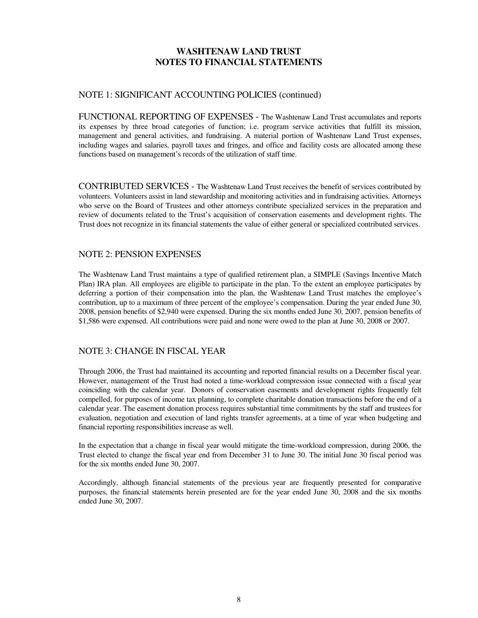### NOTE 1: SIGNIFICANT ACCOUNTING POLICIES (continued)

FUNCTIONAL REPORTING OF EXPENSES - The Washtenaw Land Trust accumulates and reports its expenses by three broad categories of function; i.e. program service activities that fulfill its mission, management and general activities, and fundraising. A material portion of Washtenaw Land Trust expenses, including wages and salaries, payroll taxes and fringes, and office and facility costs are allocated among these functions based on management's records of the utilization of staff time.

CONTRIBUTED SERVICES - The Washtenaw Land Trust receives the benefit of services contributed by volunteers. Volunteers assist in land stewardship and monitoring activities and in fundraising activities. Attorneys who serve on the Board of Trustees and other attorneys contribute specialized services in the preparation and review of documents related to the Trust's acquisition of conservation easements and development rights. The Trust does not recognize in its financial statements the value of either general or specialized contributed services.

#### NOTE 2: PENSION EXPENSES

The Washtenaw Land Trust maintains a type of qualified retirement plan, a SIMPLE (Savings Incentive Match Plan) IRA plan. All employees are eligible to participate in the plan. To the extent an employee participates by deferring a portion of their compensation into the plan, the Washtenaw Land Trust matches the employee's contribution, up to a maximum of three percent of the employee's compensation. During the year ended June 30, 2008, pension benefits of \$2,940 were expensed. During the six months ended June 30, 2007, pension benefits of \$1,586 were expensed. All contributions were paid and none were owed to the plan at June 30, 2008 or 2007.

### NOTE 3: CHANGE IN FISCAL YEAR

Through 2006, the Trust had maintained its accounting and reported financial results on a December fiscal year. However, management of the Trust had noted a time-workload compression issue connected with a fiscal year coinciding with the calendar year. Donors of conservation easements and development rights frequently felt compelled, for purposes of income tax planning, to complete charitable donation transactions before the end of a calendar year. The easement donation process requires substantial time commitments by the staff and trustees for evaluation, negotiation and execution of land rights transfer agreements, at a time of year when budgeting and financial reporting responsibilities increase as well.

In the expectation that a change in fiscal year would mitigate the time-workload compression, during 2006, the Trust elected to change the fiscal year end from December 31 to June 30. The initial June 30 fiscal period was for the six months ended June 30, 2007.

Accordingly, although financial statements of the previous year are frequently presented for comparative purposes, the financial statements herein presented are for the year ended June 30, 2008 and the six months ended June 30, 2007.